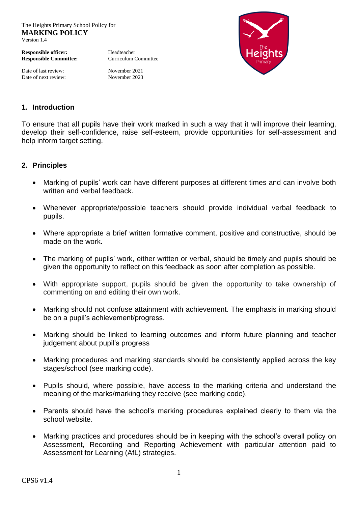The Heights Primary School Policy for **MARKING POLICY** Version 1.4

**Responsible officer:** Headteacher **Responsible Committee:** Curriculum Committee

Date of last review: November 2021 Date of next review: November 2023



## **1. Introduction**

To ensure that all pupils have their work marked in such a way that it will improve their learning, develop their self-confidence, raise self-esteem, provide opportunities for self-assessment and help inform target setting.

## **2. Principles**

- Marking of pupils' work can have different purposes at different times and can involve both written and verbal feedback.
- Whenever appropriate/possible teachers should provide individual verbal feedback to pupils.
- Where appropriate a brief written formative comment, positive and constructive, should be made on the work.
- The marking of pupils' work, either written or verbal, should be timely and pupils should be given the opportunity to reflect on this feedback as soon after completion as possible.
- With appropriate support, pupils should be given the opportunity to take ownership of commenting on and editing their own work.
- Marking should not confuse attainment with achievement. The emphasis in marking should be on a pupil's achievement/progress.
- Marking should be linked to learning outcomes and inform future planning and teacher judgement about pupil's progress
- Marking procedures and marking standards should be consistently applied across the key stages/school (see marking code).
- Pupils should, where possible, have access to the marking criteria and understand the meaning of the marks/marking they receive (see marking code).
- Parents should have the school's marking procedures explained clearly to them via the school website.
- Marking practices and procedures should be in keeping with the school's overall policy on Assessment, Recording and Reporting Achievement with particular attention paid to Assessment for Learning (AfL) strategies.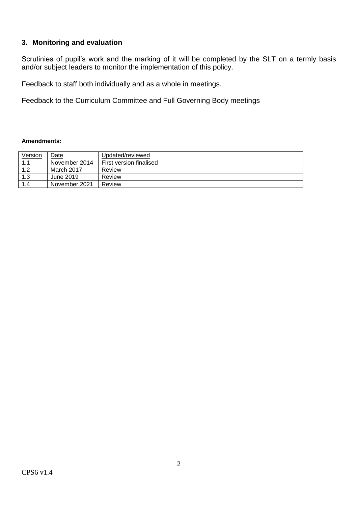## **3. Monitoring and evaluation**

Scrutinies of pupil's work and the marking of it will be completed by the SLT on a termly basis and/or subject leaders to monitor the implementation of this policy.

Feedback to staff both individually and as a whole in meetings.

Feedback to the Curriculum Committee and Full Governing Body meetings

## **Amendments:**

| Version        | Date          | Updated/reviewed        |
|----------------|---------------|-------------------------|
|                | November 2014 | First version finalised |
| 1 <sub>2</sub> | March 2017    | Review                  |
| 1.3            | June 2019     | Review                  |
| 1.4            | November 2021 | Review                  |